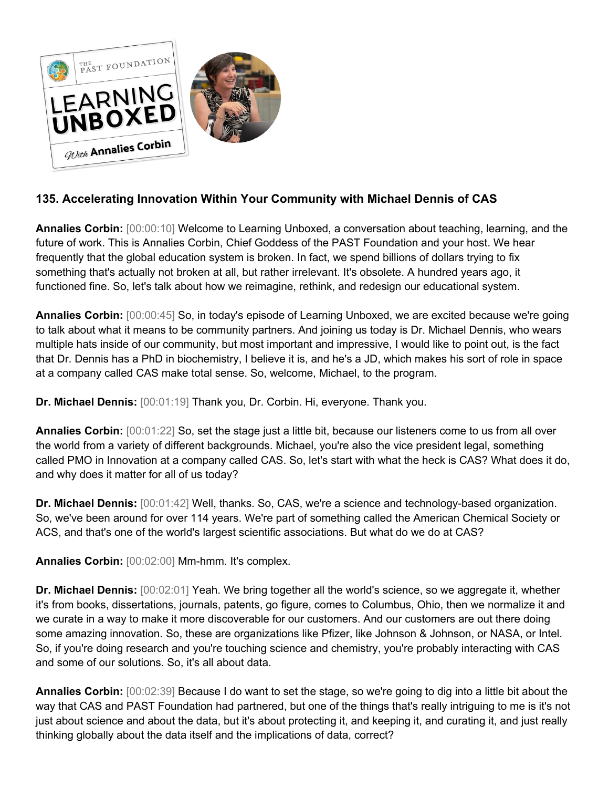

## **135. Accelerating Innovation Within Your Community with Michael Dennis of CAS**

**Annalies Corbin:** [00:00:10] Welcome to Learning Unboxed, a conversation about teaching, learning, and the future of work. This is Annalies Corbin, Chief Goddess of the PAST Foundation and your host. We hear frequently that the global education system is broken. In fact, we spend billions of dollars trying to fix something that's actually not broken at all, but rather irrelevant. It's obsolete. A hundred years ago, it functioned fine. So, let's talk about how we reimagine, rethink, and redesign our educational system.

**Annalies Corbin:** [00:00:45] So, in today's episode of Learning Unboxed, we are excited because we're going to talk about what it means to be community partners. And joining us today is Dr. Michael Dennis, who wears multiple hats inside of our community, but most important and impressive, I would like to point out, is the fact that Dr. Dennis has a PhD in biochemistry, I believe it is, and he's a JD, which makes his sort of role in space at a company called CAS make total sense. So, welcome, Michael, to the program.

**Dr. Michael Dennis:** [00:01:19] Thank you, Dr. Corbin. Hi, everyone. Thank you.

**Annalies Corbin:** [00:01:22] So, set the stage just a little bit, because our listeners come to us from all over the world from a variety of different backgrounds. Michael, you're also the vice president legal, something called PMO in Innovation at a company called CAS. So, let's start with what the heck is CAS? What does it do, and why does it matter for all of us today?

**Dr. Michael Dennis:** [00:01:42] Well, thanks. So, CAS, we're a science and technology-based organization. So, we've been around for over 114 years. We're part of something called the American Chemical Society or ACS, and that's one of the world's largest scientific associations. But what do we do at CAS?

**Annalies Corbin:** [00:02:00] Mm-hmm. It's complex.

**Dr. Michael Dennis:** [00:02:01] Yeah. We bring together all the world's science, so we aggregate it, whether it's from books, dissertations, journals, patents, go figure, comes to Columbus, Ohio, then we normalize it and we curate in a way to make it more discoverable for our customers. And our customers are out there doing some amazing innovation. So, these are organizations like Pfizer, like Johnson & Johnson, or NASA, or Intel. So, if you're doing research and you're touching science and chemistry, you're probably interacting with CAS and some of our solutions. So, it's all about data.

**Annalies Corbin:** [00:02:39] Because I do want to set the stage, so we're going to dig into a little bit about the way that CAS and PAST Foundation had partnered, but one of the things that's really intriguing to me is it's not just about science and about the data, but it's about protecting it, and keeping it, and curating it, and just really thinking globally about the data itself and the implications of data, correct?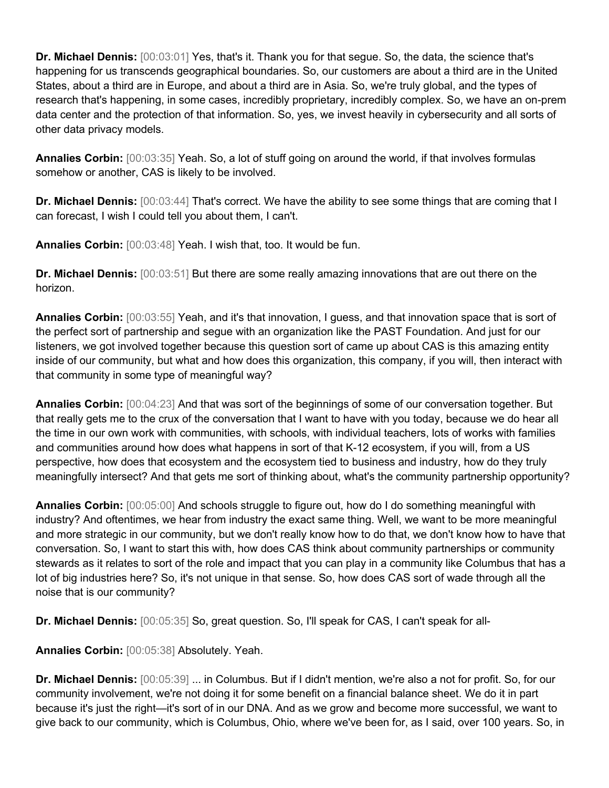**Dr. Michael Dennis:** [00:03:01] Yes, that's it. Thank you for that segue. So, the data, the science that's happening for us transcends geographical boundaries. So, our customers are about a third are in the United States, about a third are in Europe, and about a third are in Asia. So, we're truly global, and the types of research that's happening, in some cases, incredibly proprietary, incredibly complex. So, we have an on-prem data center and the protection of that information. So, yes, we invest heavily in cybersecurity and all sorts of other data privacy models.

**Annalies Corbin:** [00:03:35] Yeah. So, a lot of stuff going on around the world, if that involves formulas somehow or another, CAS is likely to be involved.

**Dr. Michael Dennis:** [00:03:44] That's correct. We have the ability to see some things that are coming that I can forecast, I wish I could tell you about them, I can't.

**Annalies Corbin:** [00:03:48] Yeah. I wish that, too. It would be fun.

**Dr. Michael Dennis:** [00:03:51] But there are some really amazing innovations that are out there on the horizon.

**Annalies Corbin:** [00:03:55] Yeah, and it's that innovation, I guess, and that innovation space that is sort of the perfect sort of partnership and segue with an organization like the PAST Foundation. And just for our listeners, we got involved together because this question sort of came up about CAS is this amazing entity inside of our community, but what and how does this organization, this company, if you will, then interact with that community in some type of meaningful way?

**Annalies Corbin:** [00:04:23] And that was sort of the beginnings of some of our conversation together. But that really gets me to the crux of the conversation that I want to have with you today, because we do hear all the time in our own work with communities, with schools, with individual teachers, lots of works with families and communities around how does what happens in sort of that K-12 ecosystem, if you will, from a US perspective, how does that ecosystem and the ecosystem tied to business and industry, how do they truly meaningfully intersect? And that gets me sort of thinking about, what's the community partnership opportunity?

**Annalies Corbin:** [00:05:00] And schools struggle to figure out, how do I do something meaningful with industry? And oftentimes, we hear from industry the exact same thing. Well, we want to be more meaningful and more strategic in our community, but we don't really know how to do that, we don't know how to have that conversation. So, I want to start this with, how does CAS think about community partnerships or community stewards as it relates to sort of the role and impact that you can play in a community like Columbus that has a lot of big industries here? So, it's not unique in that sense. So, how does CAS sort of wade through all the noise that is our community?

**Dr. Michael Dennis:** [00:05:35] So, great question. So, I'll speak for CAS, I can't speak for all-

**Annalies Corbin:** [00:05:38] Absolutely. Yeah.

**Dr. Michael Dennis:** [00:05:39] ... in Columbus. But if I didn't mention, we're also a not for profit. So, for our community involvement, we're not doing it for some benefit on a financial balance sheet. We do it in part because it's just the right—it's sort of in our DNA. And as we grow and become more successful, we want to give back to our community, which is Columbus, Ohio, where we've been for, as I said, over 100 years. So, in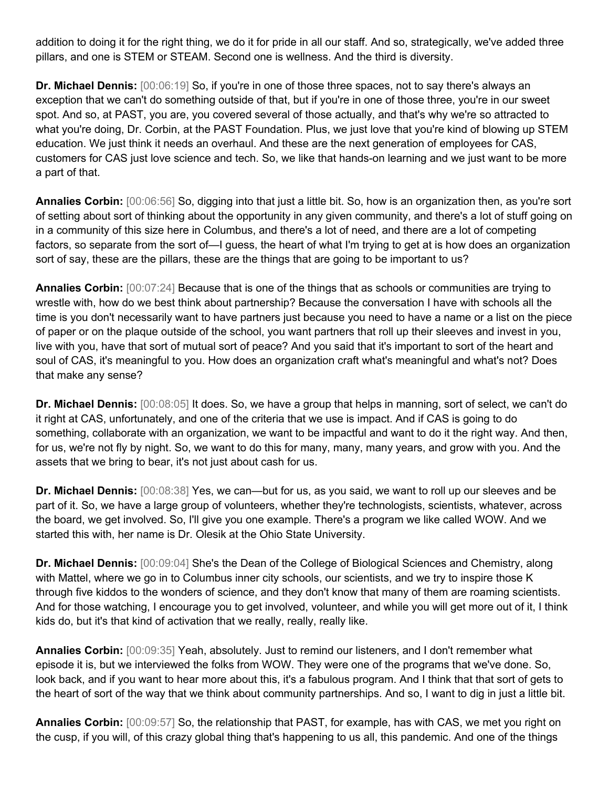addition to doing it for the right thing, we do it for pride in all our staff. And so, strategically, we've added three pillars, and one is STEM or STEAM. Second one is wellness. And the third is diversity.

**Dr. Michael Dennis:** [00:06:19] So, if you're in one of those three spaces, not to say there's always an exception that we can't do something outside of that, but if you're in one of those three, you're in our sweet spot. And so, at PAST, you are, you covered several of those actually, and that's why we're so attracted to what you're doing, Dr. Corbin, at the PAST Foundation. Plus, we just love that you're kind of blowing up STEM education. We just think it needs an overhaul. And these are the next generation of employees for CAS, customers for CAS just love science and tech. So, we like that hands-on learning and we just want to be more a part of that.

**Annalies Corbin:** [00:06:56] So, digging into that just a little bit. So, how is an organization then, as you're sort of setting about sort of thinking about the opportunity in any given community, and there's a lot of stuff going on in a community of this size here in Columbus, and there's a lot of need, and there are a lot of competing factors, so separate from the sort of—I guess, the heart of what I'm trying to get at is how does an organization sort of say, these are the pillars, these are the things that are going to be important to us?

**Annalies Corbin:** [00:07:24] Because that is one of the things that as schools or communities are trying to wrestle with, how do we best think about partnership? Because the conversation I have with schools all the time is you don't necessarily want to have partners just because you need to have a name or a list on the piece of paper or on the plaque outside of the school, you want partners that roll up their sleeves and invest in you, live with you, have that sort of mutual sort of peace? And you said that it's important to sort of the heart and soul of CAS, it's meaningful to you. How does an organization craft what's meaningful and what's not? Does that make any sense?

**Dr. Michael Dennis:** [00:08:05] It does. So, we have a group that helps in manning, sort of select, we can't do it right at CAS, unfortunately, and one of the criteria that we use is impact. And if CAS is going to do something, collaborate with an organization, we want to be impactful and want to do it the right way. And then, for us, we're not fly by night. So, we want to do this for many, many, many years, and grow with you. And the assets that we bring to bear, it's not just about cash for us.

**Dr. Michael Dennis:** [00:08:38] Yes, we can—but for us, as you said, we want to roll up our sleeves and be part of it. So, we have a large group of volunteers, whether they're technologists, scientists, whatever, across the board, we get involved. So, I'll give you one example. There's a program we like called WOW. And we started this with, her name is Dr. Olesik at the Ohio State University.

**Dr. Michael Dennis:** [00:09:04] She's the Dean of the College of Biological Sciences and Chemistry, along with Mattel, where we go in to Columbus inner city schools, our scientists, and we try to inspire those K through five kiddos to the wonders of science, and they don't know that many of them are roaming scientists. And for those watching, I encourage you to get involved, volunteer, and while you will get more out of it, I think kids do, but it's that kind of activation that we really, really, really like.

**Annalies Corbin:** [00:09:35] Yeah, absolutely. Just to remind our listeners, and I don't remember what episode it is, but we interviewed the folks from WOW. They were one of the programs that we've done. So, look back, and if you want to hear more about this, it's a fabulous program. And I think that that sort of gets to the heart of sort of the way that we think about community partnerships. And so, I want to dig in just a little bit.

**Annalies Corbin:** [00:09:57] So, the relationship that PAST, for example, has with CAS, we met you right on the cusp, if you will, of this crazy global thing that's happening to us all, this pandemic. And one of the things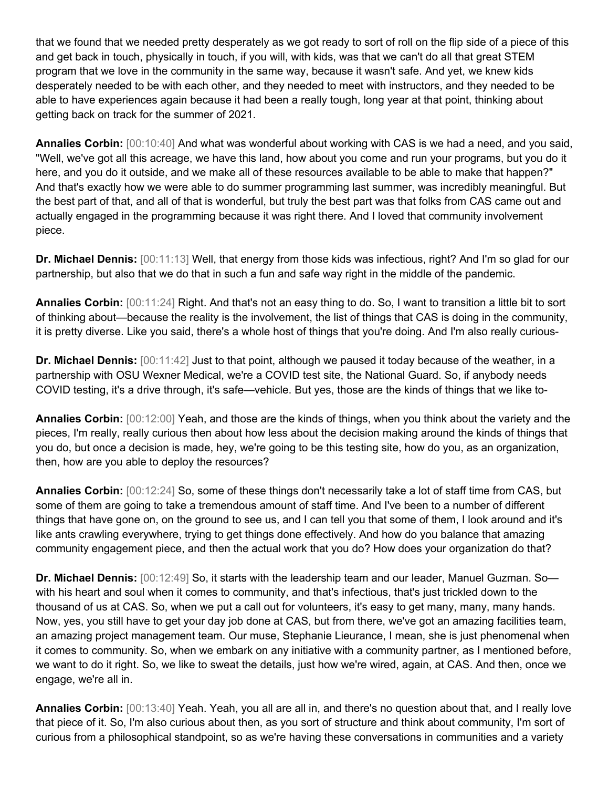that we found that we needed pretty desperately as we got ready to sort of roll on the flip side of a piece of this and get back in touch, physically in touch, if you will, with kids, was that we can't do all that great STEM program that we love in the community in the same way, because it wasn't safe. And yet, we knew kids desperately needed to be with each other, and they needed to meet with instructors, and they needed to be able to have experiences again because it had been a really tough, long year at that point, thinking about getting back on track for the summer of 2021.

**Annalies Corbin:** [00:10:40] And what was wonderful about working with CAS is we had a need, and you said, "Well, we've got all this acreage, we have this land, how about you come and run your programs, but you do it here, and you do it outside, and we make all of these resources available to be able to make that happen?" And that's exactly how we were able to do summer programming last summer, was incredibly meaningful. But the best part of that, and all of that is wonderful, but truly the best part was that folks from CAS came out and actually engaged in the programming because it was right there. And I loved that community involvement piece.

**Dr. Michael Dennis:** [00:11:13] Well, that energy from those kids was infectious, right? And I'm so glad for our partnership, but also that we do that in such a fun and safe way right in the middle of the pandemic.

**Annalies Corbin:** [00:11:24] Right. And that's not an easy thing to do. So, I want to transition a little bit to sort of thinking about—because the reality is the involvement, the list of things that CAS is doing in the community, it is pretty diverse. Like you said, there's a whole host of things that you're doing. And I'm also really curious-

**Dr. Michael Dennis:** [00:11:42] Just to that point, although we paused it today because of the weather, in a partnership with OSU Wexner Medical, we're a COVID test site, the National Guard. So, if anybody needs COVID testing, it's a drive through, it's safe—vehicle. But yes, those are the kinds of things that we like to-

**Annalies Corbin:** [00:12:00] Yeah, and those are the kinds of things, when you think about the variety and the pieces, I'm really, really curious then about how less about the decision making around the kinds of things that you do, but once a decision is made, hey, we're going to be this testing site, how do you, as an organization, then, how are you able to deploy the resources?

**Annalies Corbin:** [00:12:24] So, some of these things don't necessarily take a lot of staff time from CAS, but some of them are going to take a tremendous amount of staff time. And I've been to a number of different things that have gone on, on the ground to see us, and I can tell you that some of them, I look around and it's like ants crawling everywhere, trying to get things done effectively. And how do you balance that amazing community engagement piece, and then the actual work that you do? How does your organization do that?

**Dr. Michael Dennis:** [00:12:49] So, it starts with the leadership team and our leader, Manuel Guzman. So with his heart and soul when it comes to community, and that's infectious, that's just trickled down to the thousand of us at CAS. So, when we put a call out for volunteers, it's easy to get many, many, many hands. Now, yes, you still have to get your day job done at CAS, but from there, we've got an amazing facilities team, an amazing project management team. Our muse, Stephanie Lieurance, I mean, she is just phenomenal when it comes to community. So, when we embark on any initiative with a community partner, as I mentioned before, we want to do it right. So, we like to sweat the details, just how we're wired, again, at CAS. And then, once we engage, we're all in.

**Annalies Corbin:** [00:13:40] Yeah. Yeah, you all are all in, and there's no question about that, and I really love that piece of it. So, I'm also curious about then, as you sort of structure and think about community, I'm sort of curious from a philosophical standpoint, so as we're having these conversations in communities and a variety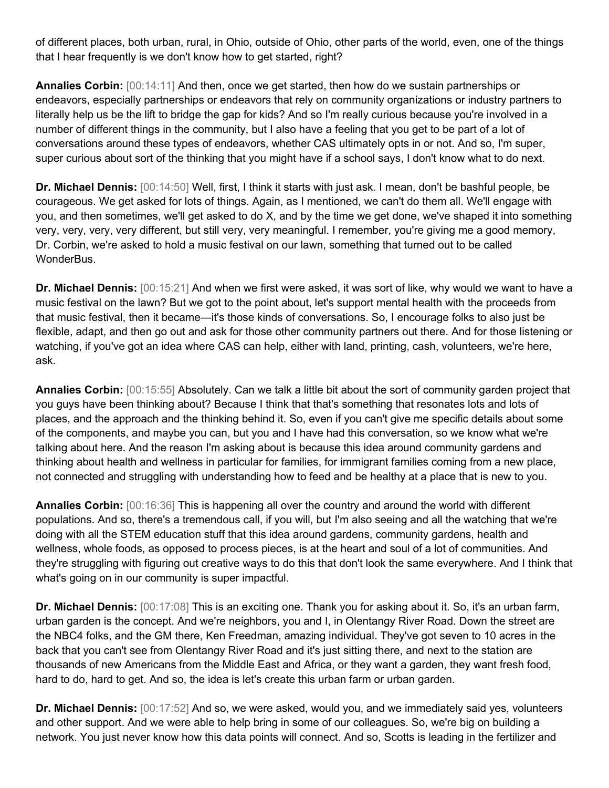of different places, both urban, rural, in Ohio, outside of Ohio, other parts of the world, even, one of the things that I hear frequently is we don't know how to get started, right?

**Annalies Corbin:** [00:14:11] And then, once we get started, then how do we sustain partnerships or endeavors, especially partnerships or endeavors that rely on community organizations or industry partners to literally help us be the lift to bridge the gap for kids? And so I'm really curious because you're involved in a number of different things in the community, but I also have a feeling that you get to be part of a lot of conversations around these types of endeavors, whether CAS ultimately opts in or not. And so, I'm super, super curious about sort of the thinking that you might have if a school says, I don't know what to do next.

**Dr. Michael Dennis:** [00:14:50] Well, first, I think it starts with just ask. I mean, don't be bashful people, be courageous. We get asked for lots of things. Again, as I mentioned, we can't do them all. We'll engage with you, and then sometimes, we'll get asked to do X, and by the time we get done, we've shaped it into something very, very, very, very different, but still very, very meaningful. I remember, you're giving me a good memory, Dr. Corbin, we're asked to hold a music festival on our lawn, something that turned out to be called WonderBus.

**Dr. Michael Dennis:** [00:15:21] And when we first were asked, it was sort of like, why would we want to have a music festival on the lawn? But we got to the point about, let's support mental health with the proceeds from that music festival, then it became—it's those kinds of conversations. So, I encourage folks to also just be flexible, adapt, and then go out and ask for those other community partners out there. And for those listening or watching, if you've got an idea where CAS can help, either with land, printing, cash, volunteers, we're here, ask.

**Annalies Corbin:** [00:15:55] Absolutely. Can we talk a little bit about the sort of community garden project that you guys have been thinking about? Because I think that that's something that resonates lots and lots of places, and the approach and the thinking behind it. So, even if you can't give me specific details about some of the components, and maybe you can, but you and I have had this conversation, so we know what we're talking about here. And the reason I'm asking about is because this idea around community gardens and thinking about health and wellness in particular for families, for immigrant families coming from a new place, not connected and struggling with understanding how to feed and be healthy at a place that is new to you.

**Annalies Corbin:** [00:16:36] This is happening all over the country and around the world with different populations. And so, there's a tremendous call, if you will, but I'm also seeing and all the watching that we're doing with all the STEM education stuff that this idea around gardens, community gardens, health and wellness, whole foods, as opposed to process pieces, is at the heart and soul of a lot of communities. And they're struggling with figuring out creative ways to do this that don't look the same everywhere. And I think that what's going on in our community is super impactful.

**Dr. Michael Dennis:** [00:17:08] This is an exciting one. Thank you for asking about it. So, it's an urban farm, urban garden is the concept. And we're neighbors, you and I, in Olentangy River Road. Down the street are the NBC4 folks, and the GM there, Ken Freedman, amazing individual. They've got seven to 10 acres in the back that you can't see from Olentangy River Road and it's just sitting there, and next to the station are thousands of new Americans from the Middle East and Africa, or they want a garden, they want fresh food, hard to do, hard to get. And so, the idea is let's create this urban farm or urban garden.

**Dr. Michael Dennis:** [00:17:52] And so, we were asked, would you, and we immediately said yes, volunteers and other support. And we were able to help bring in some of our colleagues. So, we're big on building a network. You just never know how this data points will connect. And so, Scotts is leading in the fertilizer and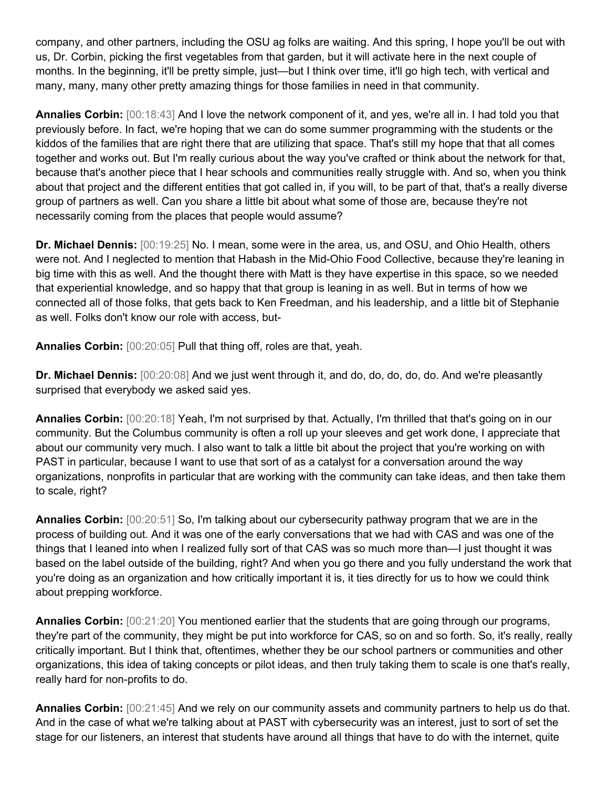company, and other partners, including the OSU ag folks are waiting. And this spring, I hope you'll be out with us, Dr. Corbin, picking the first vegetables from that garden, but it will activate here in the next couple of months. In the beginning, it'll be pretty simple, just—but I think over time, it'll go high tech, with vertical and many, many, many other pretty amazing things for those families in need in that community.

**Annalies Corbin:** [00:18:43] And I love the network component of it, and yes, we're all in. I had told you that previously before. In fact, we're hoping that we can do some summer programming with the students or the kiddos of the families that are right there that are utilizing that space. That's still my hope that that all comes together and works out. But I'm really curious about the way you've crafted or think about the network for that, because that's another piece that I hear schools and communities really struggle with. And so, when you think about that project and the different entities that got called in, if you will, to be part of that, that's a really diverse group of partners as well. Can you share a little bit about what some of those are, because they're not necessarily coming from the places that people would assume?

**Dr. Michael Dennis:** [00:19:25] No. I mean, some were in the area, us, and OSU, and Ohio Health, others were not. And I neglected to mention that Habash in the Mid-Ohio Food Collective, because they're leaning in big time with this as well. And the thought there with Matt is they have expertise in this space, so we needed that experiential knowledge, and so happy that that group is leaning in as well. But in terms of how we connected all of those folks, that gets back to Ken Freedman, and his leadership, and a little bit of Stephanie as well. Folks don't know our role with access, but-

**Annalies Corbin:** [00:20:05] Pull that thing off, roles are that, yeah.

**Dr. Michael Dennis:** [00:20:08] And we just went through it, and do, do, do, do, do. And we're pleasantly surprised that everybody we asked said yes.

**Annalies Corbin:** [00:20:18] Yeah, I'm not surprised by that. Actually, I'm thrilled that that's going on in our community. But the Columbus community is often a roll up your sleeves and get work done, I appreciate that about our community very much. I also want to talk a little bit about the project that you're working on with PAST in particular, because I want to use that sort of as a catalyst for a conversation around the way organizations, nonprofits in particular that are working with the community can take ideas, and then take them to scale, right?

**Annalies Corbin:** [00:20:51] So, I'm talking about our cybersecurity pathway program that we are in the process of building out. And it was one of the early conversations that we had with CAS and was one of the things that I leaned into when I realized fully sort of that CAS was so much more than—I just thought it was based on the label outside of the building, right? And when you go there and you fully understand the work that you're doing as an organization and how critically important it is, it ties directly for us to how we could think about prepping workforce.

**Annalies Corbin:** [00:21:20] You mentioned earlier that the students that are going through our programs, they're part of the community, they might be put into workforce for CAS, so on and so forth. So, it's really, really critically important. But I think that, oftentimes, whether they be our school partners or communities and other organizations, this idea of taking concepts or pilot ideas, and then truly taking them to scale is one that's really, really hard for non-profits to do.

**Annalies Corbin:** [00:21:45] And we rely on our community assets and community partners to help us do that. And in the case of what we're talking about at PAST with cybersecurity was an interest, just to sort of set the stage for our listeners, an interest that students have around all things that have to do with the internet, quite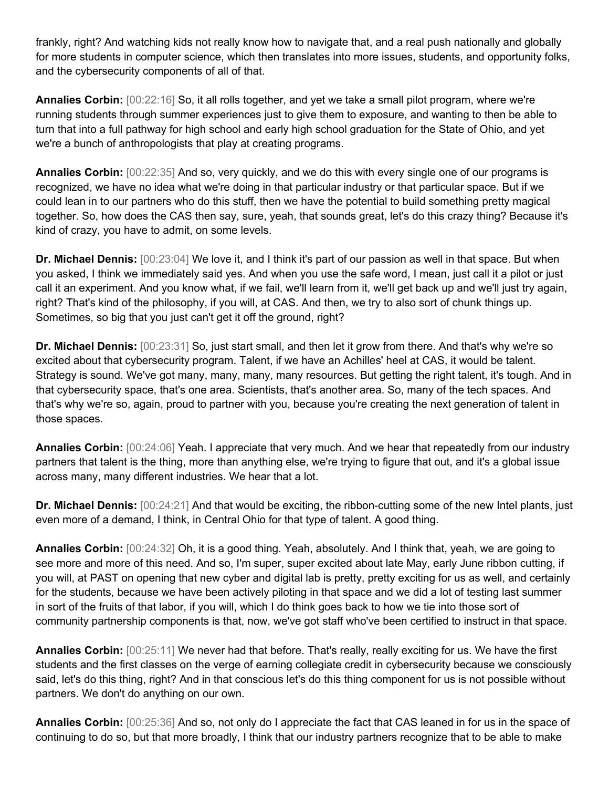frankly, right? And watching kids not really know how to navigate that, and a real push nationally and globally for more students in computer science, which then translates into more issues, students, and opportunity folks, and the cybersecurity components of all of that.

**Annalies Corbin:** [00:22:16] So, it all rolls together, and yet we take a small pilot program, where we're running students through summer experiences just to give them to exposure, and wanting to then be able to turn that into a full pathway for high school and early high school graduation for the State of Ohio, and yet we're a bunch of anthropologists that play at creating programs.

**Annalies Corbin:** [00:22:35] And so, very quickly, and we do this with every single one of our programs is recognized, we have no idea what we're doing in that particular industry or that particular space. But if we could lean in to our partners who do this stuff, then we have the potential to build something pretty magical together. So, how does the CAS then say, sure, yeah, that sounds great, let's do this crazy thing? Because it's kind of crazy, you have to admit, on some levels.

**Dr. Michael Dennis:** [00:23:04] We love it, and I think it's part of our passion as well in that space. But when you asked, I think we immediately said yes. And when you use the safe word, I mean, just call it a pilot or just call it an experiment. And you know what, if we fail, we'll learn from it, we'll get back up and we'll just try again, right? That's kind of the philosophy, if you will, at CAS. And then, we try to also sort of chunk things up. Sometimes, so big that you just can't get it off the ground, right?

**Dr. Michael Dennis:** [00:23:31] So, just start small, and then let it grow from there. And that's why we're so excited about that cybersecurity program. Talent, if we have an Achilles' heel at CAS, it would be talent. Strategy is sound. We've got many, many, many, many resources. But getting the right talent, it's tough. And in that cybersecurity space, that's one area. Scientists, that's another area. So, many of the tech spaces. And that's why we're so, again, proud to partner with you, because you're creating the next generation of talent in those spaces.

**Annalies Corbin:** [00:24:06] Yeah. I appreciate that very much. And we hear that repeatedly from our industry partners that talent is the thing, more than anything else, we're trying to figure that out, and it's a global issue across many, many different industries. We hear that a lot.

**Dr. Michael Dennis:** [00:24:21] And that would be exciting, the ribbon-cutting some of the new Intel plants, just even more of a demand, I think, in Central Ohio for that type of talent. A good thing.

**Annalies Corbin:** [00:24:32] Oh, it is a good thing. Yeah, absolutely. And I think that, yeah, we are going to see more and more of this need. And so, I'm super, super excited about late May, early June ribbon cutting, if you will, at PAST on opening that new cyber and digital lab is pretty, pretty exciting for us as well, and certainly for the students, because we have been actively piloting in that space and we did a lot of testing last summer in sort of the fruits of that labor, if you will, which I do think goes back to how we tie into those sort of community partnership components is that, now, we've got staff who've been certified to instruct in that space.

**Annalies Corbin:** [00:25:11] We never had that before. That's really, really exciting for us. We have the first students and the first classes on the verge of earning collegiate credit in cybersecurity because we consciously said, let's do this thing, right? And in that conscious let's do this thing component for us is not possible without partners. We don't do anything on our own.

**Annalies Corbin:** [00:25:36] And so, not only do I appreciate the fact that CAS leaned in for us in the space of continuing to do so, but that more broadly, I think that our industry partners recognize that to be able to make